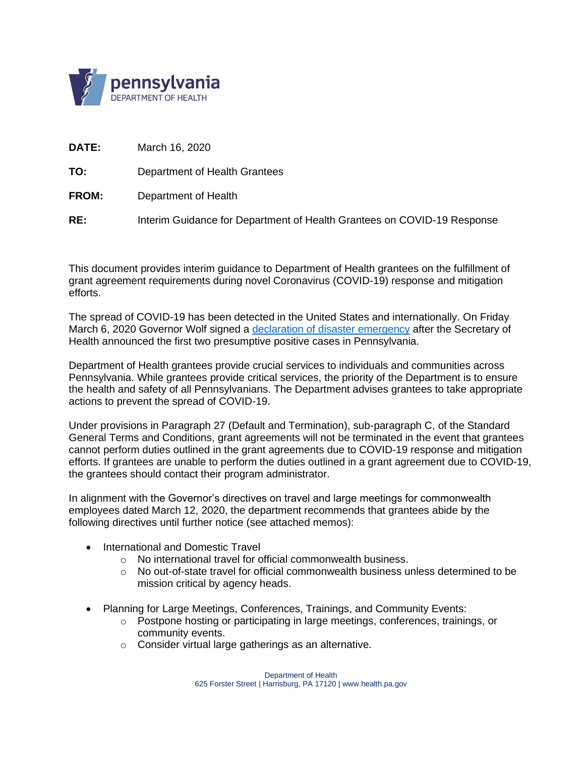

**DATE:** March 16, 2020

**TO:** Department of Health Grantees

- **FROM:** Department of Health
- **RE:** Interim Guidance for Department of Health Grantees on COVID-19 Response

This document provides interim guidance to Department of Health grantees on the fulfillment of grant agreement requirements during novel Coronavirus (COVID-19) response and mitigation efforts.

The spread of COVID-19 has been detected in the United States and internationally. On Friday March 6, 2020 Governor Wolf signed a [declaration of disaster](https://www.governor.pa.gov/newsroom/gov-wolf-signs-covid-19-disaster-declaration-to-provide-increased-support-for-state-response/) emergency after the Secretary of Health announced the first two presumptive positive cases in Pennsylvania.

Department of Health grantees provide crucial services to individuals and communities across Pennsylvania. While grantees provide critical services, the priority of the Department is to ensure the health and safety of all Pennsylvanians. The Department advises grantees to take appropriate actions to prevent the spread of COVID-19.

Under provisions in Paragraph 27 (Default and Termination), sub-paragraph C, of the Standard General Terms and Conditions, grant agreements will not be terminated in the event that grantees cannot perform duties outlined in the grant agreements due to COVID-19 response and mitigation efforts. If grantees are unable to perform the duties outlined in a grant agreement due to COVID-19, the grantees should contact their program administrator.

In alignment with the Governor's directives on travel and large meetings for commonwealth employees dated March 12, 2020, the department recommends that grantees abide by the following directives until further notice (see attached memos):

- International and Domestic Travel
	- o No international travel for official commonwealth business.
	- $\circ$  No out-of-state travel for official commonwealth business unless determined to be mission critical by agency heads.
- Planning for Large Meetings, Conferences, Trainings, and Community Events:
	- $\circ$  Postpone hosting or participating in large meetings, conferences, trainings, or community events.
	- o Consider virtual large gatherings as an alternative.